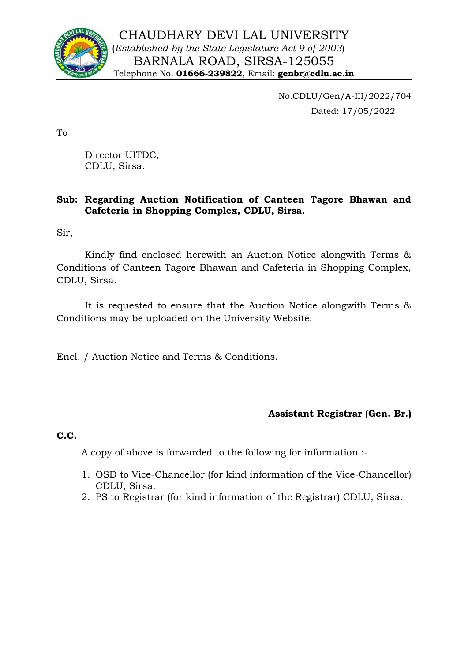

No.CDLU/Gen/A-III/2022/704 Dated: 17/05/2022

To

Director UITDC, CDLU, Sirsa.

## **Sub: Regarding Auction Notification of Canteen Tagore Bhawan and Cafeteria in Shopping Complex, CDLU, Sirsa.**

Sir,

Kindly find enclosed herewith an Auction Notice alongwith Terms & Conditions of Canteen Tagore Bhawan and Cafeteria in Shopping Complex, CDLU, Sirsa.

It is requested to ensure that the Auction Notice alongwith Terms & Conditions may be uploaded on the University Website.

Encl. / Auction Notice and Terms & Conditions.

## **Assistant Registrar (Gen. Br.)**

**C.C.**

A copy of above is forwarded to the following for information :-

- 1. OSD to Vice-Chancellor (for kind information of the Vice-Chancellor) CDLU, Sirsa.
- 2. PS to Registrar (for kind information of the Registrar) CDLU, Sirsa.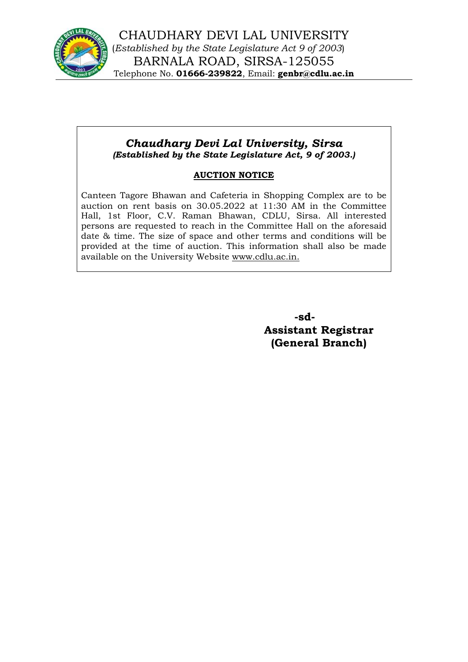

## *Chaudhary Devi Lal University, Sirsa (Established by the State Legislature Act, 9 of 2003.)*

## **AUCTION NOTICE**

Canteen Tagore Bhawan and Cafeteria in Shopping Complex are to be auction on rent basis on 30.05.2022 at 11:30 AM in the Committee Hall, 1st Floor, C.V. Raman Bhawan, CDLU, Sirsa. All interested persons are requested to reach in the Committee Hall on the aforesaid date & time. The size of space and other terms and conditions will be provided at the time of auction. This information shall also be made available on the University Website www.cdlu.ac.in.

> **-sd-Assistant Registrar (General Branch)**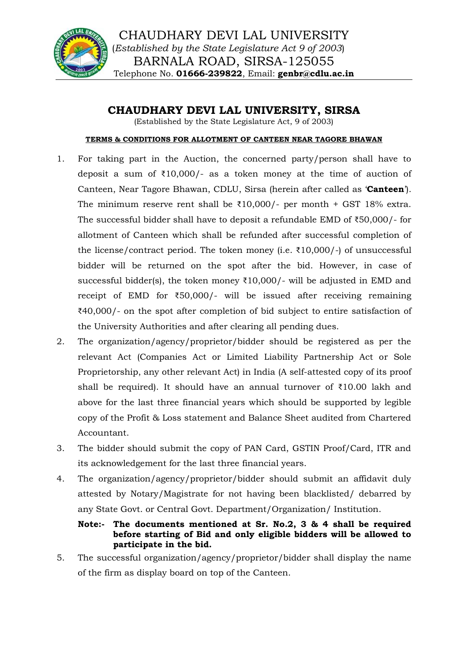

**CHAUDHARY DEVI LAL UNIVERSITY, SIRSA**

(Established by the State Legislature Act, 9 of 2003)

#### **TERMS & CONDITIONS FOR ALLOTMENT OF CANTEEN NEAR TAGORE BHAWAN**

- 1. For taking part in the Auction, the concerned party/person shall have to deposit a sum of  $\overline{10,000}$  as a token money at the time of auction of Canteen, Near Tagore Bhawan, CDLU, Sirsa (herein after called as '**Canteen**'). The minimum reserve rent shall be  $\overline{210,000}$ /- per month + GST 18% extra. The successful bidder shall have to deposit a refundable EMD of ₹50,000/- for allotment of Canteen which shall be refunded after successful completion of the license/contract period. The token money (i.e. ₹10,000/-) of unsuccessful bidder will be returned on the spot after the bid. However, in case of successful bidder(s), the token money  $\text{\textdegree{10,000}}$ /- will be adjusted in EMD and receipt of EMD for ₹50,000/- will be issued after receiving remaining ₹40,000/- on the spot after completion of bid subject to entire satisfaction of the University Authorities and after clearing all pending dues.
- 2. The organization/agency/proprietor/bidder should be registered as per the relevant Act (Companies Act or Limited Liability Partnership Act or Sole Proprietorship, any other relevant Act) in India (A self-attested copy of its proof shall be required). It should have an annual turnover of ₹10.00 lakh and above for the last three financial years which should be supported by legible copy of the Profit & Loss statement and Balance Sheet audited from Chartered Accountant.
- 3. The bidder should submit the copy of PAN Card, GSTIN Proof/Card, ITR and its acknowledgement for the last three financial years.
- 4. The organization/agency/proprietor/bidder should submit an affidavit duly attested by Notary/Magistrate for not having been blacklisted/ debarred by any State Govt. or Central Govt. Department/Organization/ Institution.

## **Note:- The documents mentioned at Sr. No.2, 3 & 4 shall be required before starting of Bid and only eligible bidders will be allowed to participate in the bid.**

5. The successful organization/agency/proprietor/bidder shall display the name of the firm as display board on top of the Canteen.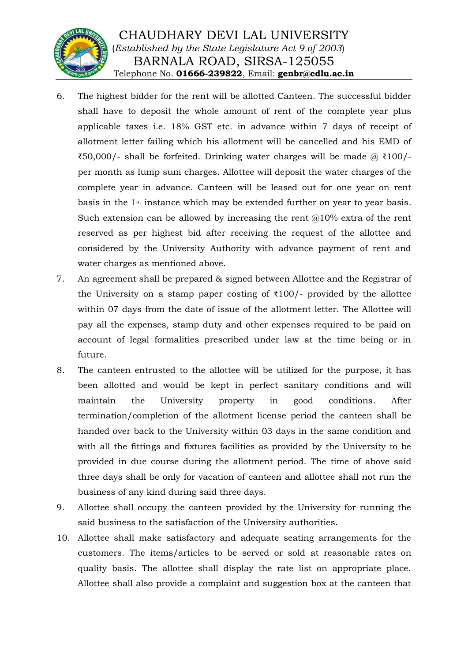

- 6. The highest bidder for the rent will be allotted Canteen. The successful bidder shall have to deposit the whole amount of rent of the complete year plus applicable taxes i.e. 18% GST etc. in advance within 7 days of receipt of allotment letter failing which his allotment will be cancelled and his EMD of  $\text{\textsterling}50,000$ /- shall be forfeited. Drinking water charges will be made @  $\text{\textsterling}100$ /per month as lump sum charges. Allottee will deposit the water charges of the complete year in advance. Canteen will be leased out for one year on rent basis in the 1st instance which may be extended further on year to year basis. Such extension can be allowed by increasing the rent  $\omega$ 10% extra of the rent reserved as per highest bid after receiving the request of the allottee and considered by the University Authority with advance payment of rent and water charges as mentioned above.
- 7. An agreement shall be prepared & signed between Allottee and the Registrar of the University on a stamp paper costing of  $\overline{\xi}100$ /- provided by the allottee within 07 days from the date of issue of the allotment letter. The Allottee will pay all the expenses, stamp duty and other expenses required to be paid on account of legal formalities prescribed under law at the time being or in future.
- 8. The canteen entrusted to the allottee will be utilized for the purpose, it has been allotted and would be kept in perfect sanitary conditions and will maintain the University property in good conditions. After termination/completion of the allotment license period the canteen shall be handed over back to the University within 03 days in the same condition and with all the fittings and fixtures facilities as provided by the University to be provided in due course during the allotment period. The time of above said three days shall be only for vacation of canteen and allottee shall not run the business of any kind during said three days.
- 9. Allottee shall occupy the canteen provided by the University for running the said business to the satisfaction of the University authorities.
- 10. Allottee shall make satisfactory and adequate seating arrangements for the customers. The items/articles to be served or sold at reasonable rates on quality basis. The allottee shall display the rate list on appropriate place. Allottee shall also provide a complaint and suggestion box at the canteen that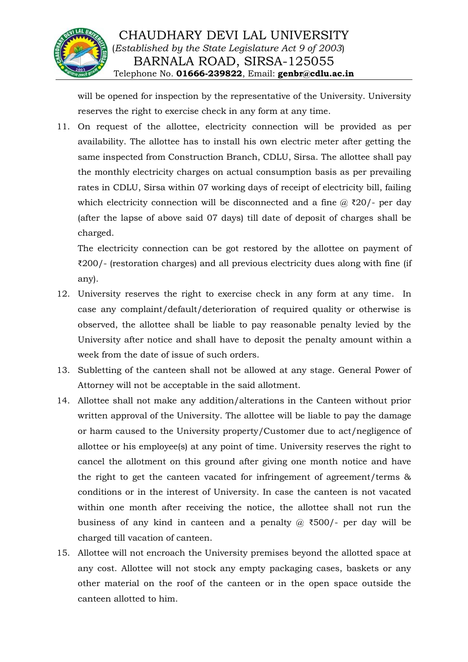

will be opened for inspection by the representative of the University. University reserves the right to exercise check in any form at any time.

11. On request of the allottee, electricity connection will be provided as per availability. The allottee has to install his own electric meter after getting the same inspected from Construction Branch, CDLU, Sirsa. The allottee shall pay the monthly electricity charges on actual consumption basis as per prevailing rates in CDLU, Sirsa within 07 working days of receipt of electricity bill, failing which electricity connection will be disconnected and a fine  $\omega$  ₹20/- per day (after the lapse of above said 07 days) till date of deposit of charges shall be charged.

The electricity connection can be got restored by the allottee on payment of ₹200/- (restoration charges) and all previous electricity dues along with fine (if any).

- 12. University reserves the right to exercise check in any form at any time. In case any complaint/default/deterioration of required quality or otherwise is observed, the allottee shall be liable to pay reasonable penalty levied by the University after notice and shall have to deposit the penalty amount within a week from the date of issue of such orders.
- 13. Subletting of the canteen shall not be allowed at any stage. General Power of Attorney will not be acceptable in the said allotment.
- 14. Allottee shall not make any addition/alterations in the Canteen without prior written approval of the University. The allottee will be liable to pay the damage or harm caused to the University property/Customer due to act/negligence of allottee or his employee(s) at any point of time. University reserves the right to cancel the allotment on this ground after giving one month notice and have the right to get the canteen vacated for infringement of agreement/terms & conditions or in the interest of University. In case the canteen is not vacated within one month after receiving the notice, the allottee shall not run the business of any kind in canteen and a penalty  $\omega$  ₹500/- per day will be charged till vacation of canteen.
- 15. Allottee will not encroach the University premises beyond the allotted space at any cost. Allottee will not stock any empty packaging cases, baskets or any other material on the roof of the canteen or in the open space outside the canteen allotted to him.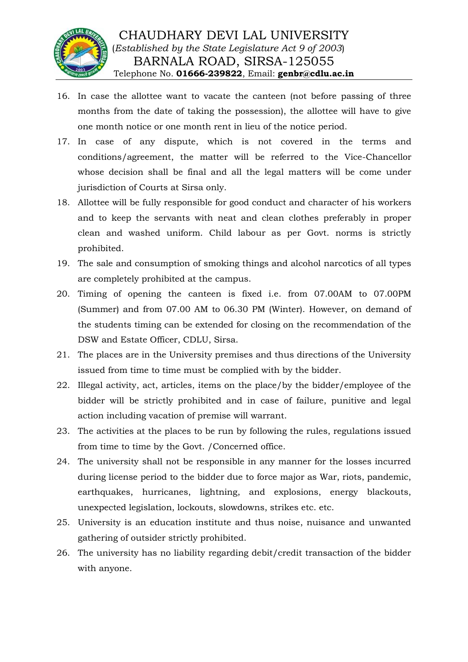

- 16. In case the allottee want to vacate the canteen (not before passing of three months from the date of taking the possession), the allottee will have to give one month notice or one month rent in lieu of the notice period.
- 17. In case of any dispute, which is not covered in the terms and conditions/agreement, the matter will be referred to the Vice-Chancellor whose decision shall be final and all the legal matters will be come under jurisdiction of Courts at Sirsa only.
- 18. Allottee will be fully responsible for good conduct and character of his workers and to keep the servants with neat and clean clothes preferably in proper clean and washed uniform. Child labour as per Govt. norms is strictly prohibited.
- 19. The sale and consumption of smoking things and alcohol narcotics of all types are completely prohibited at the campus.
- 20. Timing of opening the canteen is fixed i.e. from 07.00AM to 07.00PM (Summer) and from 07.00 AM to 06.30 PM (Winter). However, on demand of the students timing can be extended for closing on the recommendation of the DSW and Estate Officer, CDLU, Sirsa.
- 21. The places are in the University premises and thus directions of the University issued from time to time must be complied with by the bidder.
- 22. Illegal activity, act, articles, items on the place/by the bidder/employee of the bidder will be strictly prohibited and in case of failure, punitive and legal action including vacation of premise will warrant.
- 23. The activities at the places to be run by following the rules, regulations issued from time to time by the Govt. /Concerned office.
- 24. The university shall not be responsible in any manner for the losses incurred during license period to the bidder due to force major as War, riots, pandemic, earthquakes, hurricanes, lightning, and explosions, energy blackouts, unexpected legislation, lockouts, slowdowns, strikes etc. etc.
- 25. University is an education institute and thus noise, nuisance and unwanted gathering of outsider strictly prohibited.
- 26. The university has no liability regarding debit/credit transaction of the bidder with anyone.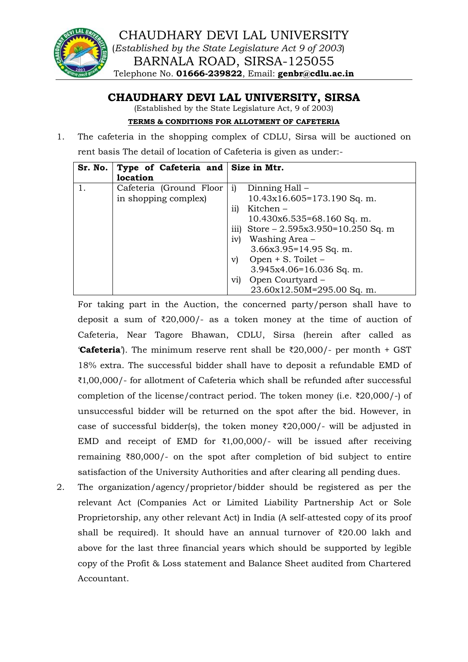

# **CHAUDHARY DEVI LAL UNIVERSITY, SIRSA**

(Established by the State Legislature Act, 9 of 2003)

#### **TERMS & CONDITIONS FOR ALLOTMENT OF CAFETERIA**

1. The cafeteria in the shopping complex of CDLU, Sirsa will be auctioned on rent basis The detail of location of Cafeteria is given as under:-

| Sr. No. | Type of Cafeteria and Size in Mtr. |                                        |
|---------|------------------------------------|----------------------------------------|
|         | location                           |                                        |
|         | Cafeteria (Ground Floor            | Dinning Hall –<br>1)                   |
|         | in shopping complex)               | $10.43x16.605=173.190$ Sq. m.          |
|         |                                    | Kitchen-<br>11)                        |
|         |                                    | $10.430x6.535=68.160$ Sq. m.           |
|         |                                    | iii) Store $-2.595x3.950=10.250$ Sq. m |
|         |                                    | Washing Area –<br>iv)                  |
|         |                                    | $3.66x3.95=14.95$ Sq. m.               |
|         |                                    | Open $+$ S. Toilet $-$<br>VI           |
|         |                                    | $3.945x4.06=16.036$ Sq. m.             |
|         |                                    | Open Courtyard -<br>V1)                |
|         |                                    | 23.60x12.50M=295.00 Sq. m.             |

For taking part in the Auction, the concerned party/person shall have to deposit a sum of ₹20,000/- as a token money at the time of auction of Cafeteria, Near Tagore Bhawan, CDLU, Sirsa (herein after called as **'Cafeteria**'). The minimum reserve rent shall be  $\overline{\ell}20,000$ /- per month + GST 18% extra. The successful bidder shall have to deposit a refundable EMD of ₹1,00,000/- for allotment of Cafeteria which shall be refunded after successful completion of the license/contract period. The token money (i.e.  $\overline{\ell}20,000$ )-) of unsuccessful bidder will be returned on the spot after the bid. However, in case of successful bidder(s), the token money ₹20,000/- will be adjusted in EMD and receipt of EMD for  $\overline{\xi}1,00,000$ /- will be issued after receiving remaining ₹80,000/- on the spot after completion of bid subject to entire satisfaction of the University Authorities and after clearing all pending dues.

2. The organization/agency/proprietor/bidder should be registered as per the relevant Act (Companies Act or Limited Liability Partnership Act or Sole Proprietorship, any other relevant Act) in India (A self-attested copy of its proof shall be required). It should have an annual turnover of ₹20.00 lakh and above for the last three financial years which should be supported by legible copy of the Profit & Loss statement and Balance Sheet audited from Chartered Accountant.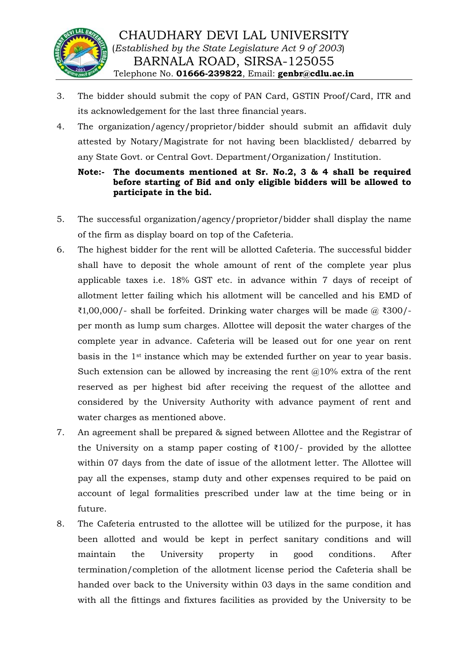

- 3. The bidder should submit the copy of PAN Card, GSTIN Proof/Card, ITR and its acknowledgement for the last three financial years.
- 4. The organization/agency/proprietor/bidder should submit an affidavit duly attested by Notary/Magistrate for not having been blacklisted/ debarred by any State Govt. or Central Govt. Department/Organization/ Institution.

## **Note:- The documents mentioned at Sr. No.2, 3 & 4 shall be required before starting of Bid and only eligible bidders will be allowed to participate in the bid.**

- 5. The successful organization/agency/proprietor/bidder shall display the name of the firm as display board on top of the Cafeteria.
- 6. The highest bidder for the rent will be allotted Cafeteria. The successful bidder shall have to deposit the whole amount of rent of the complete year plus applicable taxes i.e. 18% GST etc. in advance within 7 days of receipt of allotment letter failing which his allotment will be cancelled and his EMD of  $\text{\textsterling}1,00,000$ /- shall be forfeited. Drinking water charges will be made @  $\text{\textsterling}300$ /per month as lump sum charges. Allottee will deposit the water charges of the complete year in advance. Cafeteria will be leased out for one year on rent basis in the 1st instance which may be extended further on year to year basis. Such extension can be allowed by increasing the rent  $@10\%$  extra of the rent reserved as per highest bid after receiving the request of the allottee and considered by the University Authority with advance payment of rent and water charges as mentioned above.
- 7. An agreement shall be prepared & signed between Allottee and the Registrar of the University on a stamp paper costing of  $\bar{\tau}100$ /- provided by the allottee within 07 days from the date of issue of the allotment letter. The Allottee will pay all the expenses, stamp duty and other expenses required to be paid on account of legal formalities prescribed under law at the time being or in future.
- 8. The Cafeteria entrusted to the allottee will be utilized for the purpose, it has been allotted and would be kept in perfect sanitary conditions and will maintain the University property in good conditions. After termination/completion of the allotment license period the Cafeteria shall be handed over back to the University within 03 days in the same condition and with all the fittings and fixtures facilities as provided by the University to be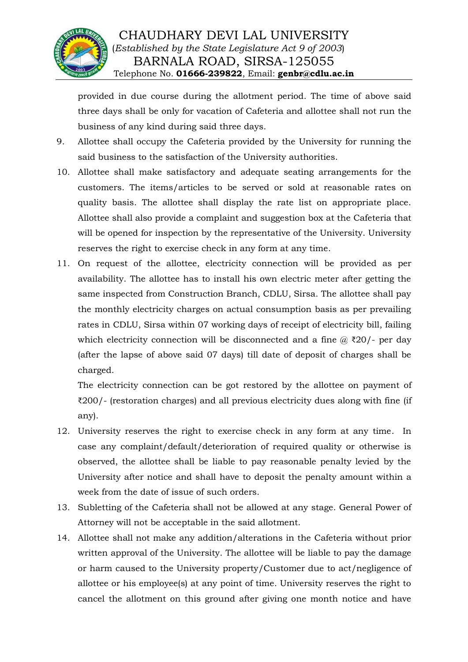

provided in due course during the allotment period. The time of above said three days shall be only for vacation of Cafeteria and allottee shall not run the business of any kind during said three days.

- 9. Allottee shall occupy the Cafeteria provided by the University for running the said business to the satisfaction of the University authorities.
- 10. Allottee shall make satisfactory and adequate seating arrangements for the customers. The items/articles to be served or sold at reasonable rates on quality basis. The allottee shall display the rate list on appropriate place. Allottee shall also provide a complaint and suggestion box at the Cafeteria that will be opened for inspection by the representative of the University. University reserves the right to exercise check in any form at any time.
- 11. On request of the allottee, electricity connection will be provided as per availability. The allottee has to install his own electric meter after getting the same inspected from Construction Branch, CDLU, Sirsa. The allottee shall pay the monthly electricity charges on actual consumption basis as per prevailing rates in CDLU, Sirsa within 07 working days of receipt of electricity bill, failing which electricity connection will be disconnected and a fine  $\omega$  ₹20/- per day (after the lapse of above said 07 days) till date of deposit of charges shall be charged.

The electricity connection can be got restored by the allottee on payment of ₹200/- (restoration charges) and all previous electricity dues along with fine (if any).

- 12. University reserves the right to exercise check in any form at any time. In case any complaint/default/deterioration of required quality or otherwise is observed, the allottee shall be liable to pay reasonable penalty levied by the University after notice and shall have to deposit the penalty amount within a week from the date of issue of such orders.
- 13. Subletting of the Cafeteria shall not be allowed at any stage. General Power of Attorney will not be acceptable in the said allotment.
- 14. Allottee shall not make any addition/alterations in the Cafeteria without prior written approval of the University. The allottee will be liable to pay the damage or harm caused to the University property/Customer due to act/negligence of allottee or his employee(s) at any point of time. University reserves the right to cancel the allotment on this ground after giving one month notice and have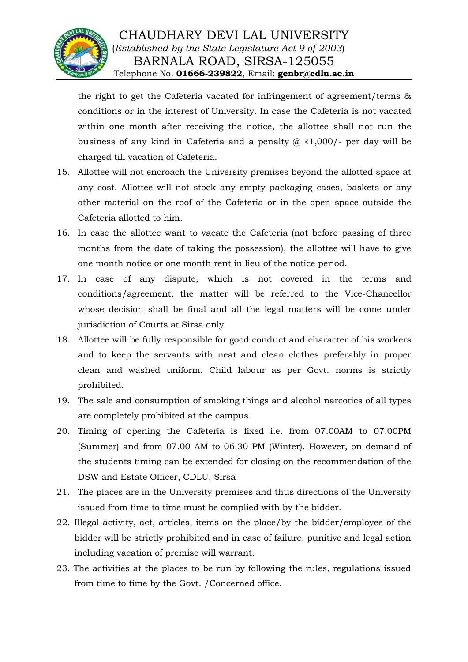

# CHAUDHARY DEVI LAL UNIVERSITY (*Established by the State Legislature Act 9 of 2003*) BARNALA ROAD, SIRSA-125055 Telephone No. **01666-239822**, Email: **genbr@cdlu.ac.in**

the right to get the Cafeteria vacated for infringement of agreement/terms & conditions or in the interest of University. In case the Cafeteria is not vacated within one month after receiving the notice, the allottee shall not run the business of any kind in Cafeteria and a penalty  $\omega$  ₹1,000/- per day will be charged till vacation of Cafeteria.

- 15. Allottee will not encroach the University premises beyond the allotted space at any cost. Allottee will not stock any empty packaging cases, baskets or any other material on the roof of the Cafeteria or in the open space outside the Cafeteria allotted to him.
- 16. In case the allottee want to vacate the Cafeteria (not before passing of three months from the date of taking the possession), the allottee will have to give one month notice or one month rent in lieu of the notice period.
- 17. In case of any dispute, which is not covered in the terms and conditions/agreement, the matter will be referred to the Vice-Chancellor whose decision shall be final and all the legal matters will be come under jurisdiction of Courts at Sirsa only.
- 18. Allottee will be fully responsible for good conduct and character of his workers and to keep the servants with neat and clean clothes preferably in proper clean and washed uniform. Child labour as per Govt. norms is strictly prohibited.
- 19. The sale and consumption of smoking things and alcohol narcotics of all types are completely prohibited at the campus.
- 20. Timing of opening the Cafeteria is fixed i.e. from 07.00AM to 07.00PM (Summer) and from 07.00 AM to 06.30 PM (Winter). However, on demand of the students timing can be extended for closing on the recommendation of the DSW and Estate Officer, CDLU, Sirsa
- 21. The places are in the University premises and thus directions of the University issued from time to time must be complied with by the bidder.
- 22. Illegal activity, act, articles, items on the place/by the bidder/employee of the bidder will be strictly prohibited and in case of failure, punitive and legal action including vacation of premise will warrant.
- 23. The activities at the places to be run by following the rules, regulations issued from time to time by the Govt. /Concerned office.